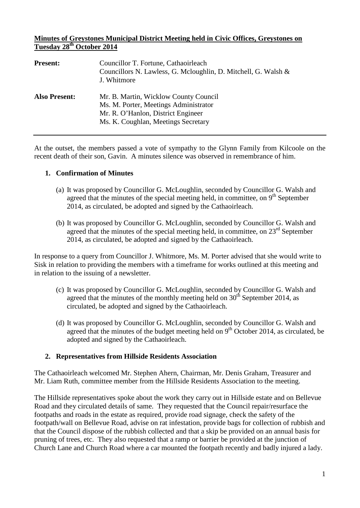### **Minutes of Greystones Municipal District Meeting held in Civic Offices, Greystones on Tuesday 28th October 2014**

| <b>Present:</b>      | Councillor T. Fortune, Cathaoirleach<br>Councillors N. Lawless, G. Mcloughlin, D. Mitchell, G. Walsh &<br>J. Whitmore                                       |
|----------------------|-------------------------------------------------------------------------------------------------------------------------------------------------------------|
| <b>Also Present:</b> | Mr. B. Martin, Wicklow County Council<br>Ms. M. Porter, Meetings Administrator<br>Mr. R. O'Hanlon, District Engineer<br>Ms. K. Coughlan, Meetings Secretary |

At the outset, the members passed a vote of sympathy to the Glynn Family from Kilcoole on the recent death of their son, Gavin. A minutes silence was observed in remembrance of him.

#### **1. Confirmation of Minutes**

- (a) It was proposed by Councillor G. McLoughlin, seconded by Councillor G. Walsh and agreed that the minutes of the special meeting held, in committee, on  $9<sup>th</sup>$  September 2014, as circulated, be adopted and signed by the Cathaoirleach.
- (b) It was proposed by Councillor G. McLoughlin, seconded by Councillor G. Walsh and agreed that the minutes of the special meeting held, in committee, on  $23<sup>rd</sup>$  September 2014, as circulated, be adopted and signed by the Cathaoirleach.

In response to a query from Councillor J. Whitmore, Ms. M. Porter advised that she would write to Sisk in relation to providing the members with a timeframe for works outlined at this meeting and in relation to the issuing of a newsletter.

- (c) It was proposed by Councillor G. McLoughlin, seconded by Councillor G. Walsh and agreed that the minutes of the monthly meeting held on  $30<sup>th</sup>$  September 2014, as circulated, be adopted and signed by the Cathaoirleach.
- (d) It was proposed by Councillor G. McLoughlin, seconded by Councillor G. Walsh and agreed that the minutes of the budget meeting held on  $9<sup>th</sup>$  October 2014, as circulated, be adopted and signed by the Cathaoirleach.

### **2. Representatives from Hillside Residents Association**

The Cathaoirleach welcomed Mr. Stephen Ahern, Chairman, Mr. Denis Graham, Treasurer and Mr. Liam Ruth, committee member from the Hillside Residents Association to the meeting.

The Hillside representatives spoke about the work they carry out in Hillside estate and on Bellevue Road and they circulated details of same. They requested that the Council repair/resurface the footpaths and roads in the estate as required, provide road signage, check the safety of the footpath/wall on Bellevue Road, advise on rat infestation, provide bags for collection of rubbish and that the Council dispose of the rubbish collected and that a skip be provided on an annual basis for pruning of trees, etc. They also requested that a ramp or barrier be provided at the junction of Church Lane and Church Road where a car mounted the footpath recently and badly injured a lady.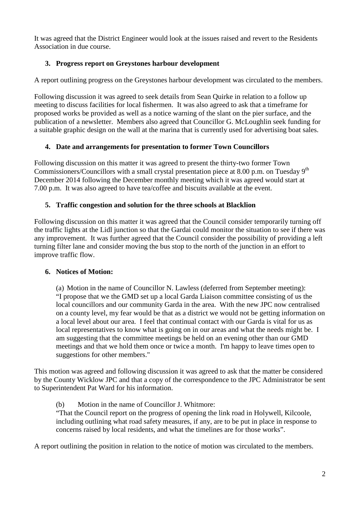It was agreed that the District Engineer would look at the issues raised and revert to the Residents Association in due course.

# **3. Progress report on Greystones harbour development**

A report outlining progress on the Greystones harbour development was circulated to the members.

Following discussion it was agreed to seek details from Sean Quirke in relation to a follow up meeting to discuss facilities for local fishermen. It was also agreed to ask that a timeframe for proposed works be provided as well as a notice warning of the slant on the pier surface, and the publication of a newsletter. Members also agreed that Councillor G. McLoughlin seek funding for a suitable graphic design on the wall at the marina that is currently used for advertising boat sales.

### **4. Date and arrangements for presentation to former Town Councillors**

Following discussion on this matter it was agreed to present the thirty-two former Town Commissioners/Councillors with a small crystal presentation piece at 8.00 p.m. on Tuesday 9<sup>th</sup> December 2014 following the December monthly meeting which it was agreed would start at 7.00 p.m. It was also agreed to have tea/coffee and biscuits available at the event.

### **5. Traffic congestion and solution for the three schools at Blacklion**

Following discussion on this matter it was agreed that the Council consider temporarily turning off the traffic lights at the Lidl junction so that the Gardai could monitor the situation to see if there was any improvement. It was further agreed that the Council consider the possibility of providing a left turning filter lane and consider moving the bus stop to the north of the junction in an effort to improve traffic flow.

### **6. Notices of Motion:**

(a) Motion in the name of Councillor N. Lawless (deferred from September meeting): "I propose that we the GMD set up a local Garda Liaison committee consisting of us the local councillors and our community Garda in the area. With the new JPC now centralised on a county level, my fear would be that as a district we would not be getting information on a local level about our area. I feel that continual contact with our Garda is vital for us as local representatives to know what is going on in our areas and what the needs might be. I am suggesting that the committee meetings be held on an evening other than our GMD meetings and that we hold them once or twice a month. I'm happy to leave times open to suggestions for other members."

This motion was agreed and following discussion it was agreed to ask that the matter be considered by the County Wicklow JPC and that a copy of the correspondence to the JPC Administrator be sent to Superintendent Pat Ward for his information.

(b) Motion in the name of Councillor J. Whitmore:

"That the Council report on the progress of opening the link road in Holywell, Kilcoole, including outlining what road safety measures, if any, are to be put in place in response to concerns raised by local residents, and what the timelines are for those works".

A report outlining the position in relation to the notice of motion was circulated to the members.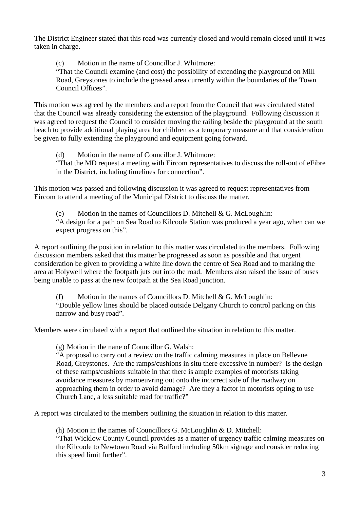The District Engineer stated that this road was currently closed and would remain closed until it was taken in charge.

(c) Motion in the name of Councillor J. Whitmore:

"That the Council examine (and cost) the possibility of extending the playground on Mill Road, Greystones to include the grassed area currently within the boundaries of the Town Council Offices".

This motion was agreed by the members and a report from the Council that was circulated stated that the Council was already considering the extension of the playground. Following discussion it was agreed to request the Council to consider moving the railing beside the playground at the south beach to provide additional playing area for children as a temporary measure and that consideration be given to fully extending the playground and equipment going forward.

(d) Motion in the name of Councillor J. Whitmore: "That the MD request a meeting with Eircom representatives to discuss the roll-out of eFibre in the District, including timelines for connection".

This motion was passed and following discussion it was agreed to request representatives from Eircom to attend a meeting of the Municipal District to discuss the matter.

(e) Motion in the names of Councillors D. Mitchell & G. McLoughlin: "A design for a path on Sea Road to Kilcoole Station was produced a year ago, when can we expect progress on this".

A report outlining the position in relation to this matter was circulated to the members. Following discussion members asked that this matter be progressed as soon as possible and that urgent consideration be given to providing a white line down the centre of Sea Road and to marking the area at Holywell where the footpath juts out into the road. Members also raised the issue of buses being unable to pass at the new footpath at the Sea Road junction.

(f) Motion in the names of Councillors D. Mitchell  $& G.$  McLoughlin: "Double yellow lines should be placed outside Delgany Church to control parking on this narrow and busy road".

Members were circulated with a report that outlined the situation in relation to this matter.

(g) Motion in the nane of Councillor G. Walsh:

"A proposal to carry out a review on the traffic calming measures in place on Bellevue Road, Greystones. Are the ramps/cushions in situ there excessive in number? Is the design of these ramps/cushions suitable in that there is ample examples of motorists taking avoidance measures by manoeuvring out onto the incorrect side of the roadway on approaching them in order to avoid damage? Are they a factor in motorists opting to use Church Lane, a less suitable road for traffic?"

A report was circulated to the members outlining the situation in relation to this matter.

(h) Motion in the names of Councillors G. McLoughlin & D. Mitchell: "That Wicklow County Council provides as a matter of urgency traffic calming measures on the Kilcoole to Newtown Road via Bulford including 50km signage and consider reducing this speed limit further".